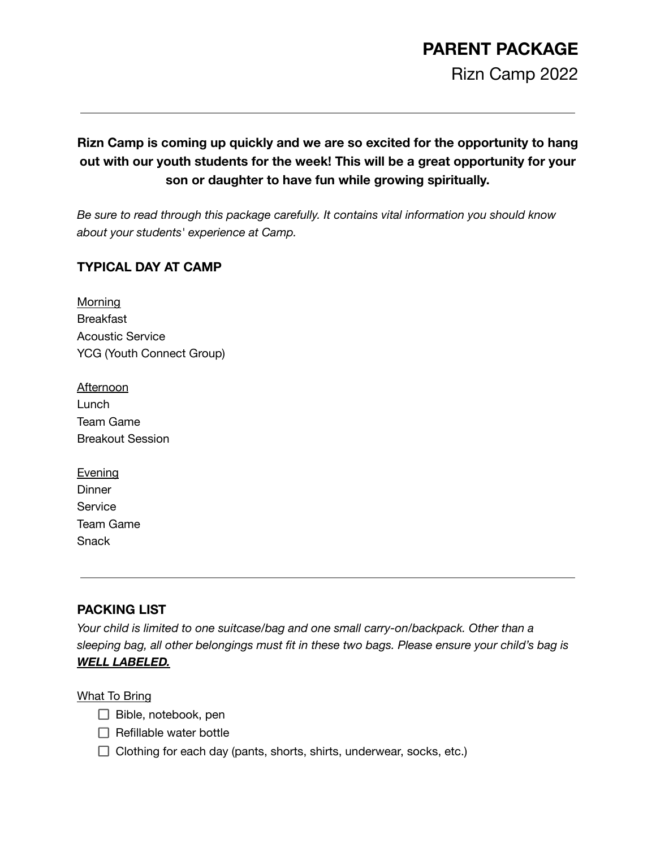# **PARENT PACKAGE**

Rizn Camp 2022

#### **Rizn Camp is coming up quickly and we are so excited for the opportunity to hang out with our youth students for the week! This will be a great opportunity for your son or daughter to have fun while growing spiritually.**

*Be sure to read through this package carefully. It contains vital information you should know about your students' experience at Camp.*

#### **TYPICAL DAY AT CAMP**

**Morning** Breakfast Acoustic Service YCG (Youth Connect Group)

| <u>Afternoon</u>        |
|-------------------------|
| Lunch                   |
| Team Game               |
| <b>Breakout Session</b> |

| <b>Evening</b>   |
|------------------|
| Dinner           |
| Service          |
| <b>Team Game</b> |
| Snack            |

#### **PACKING LIST**

*Your child is limited to one suitcase/bag and one small carry-on/backpack. Other than a sleeping bag, all other belongings must fit in these two bags. Please ensure your child's bag is WELL LABELED.*

#### What To Bring

- $\Box$  Bible, notebook, pen
- $\Box$  Refillable water bottle
- $\Box$  Clothing for each day (pants, shorts, shirts, underwear, socks, etc.)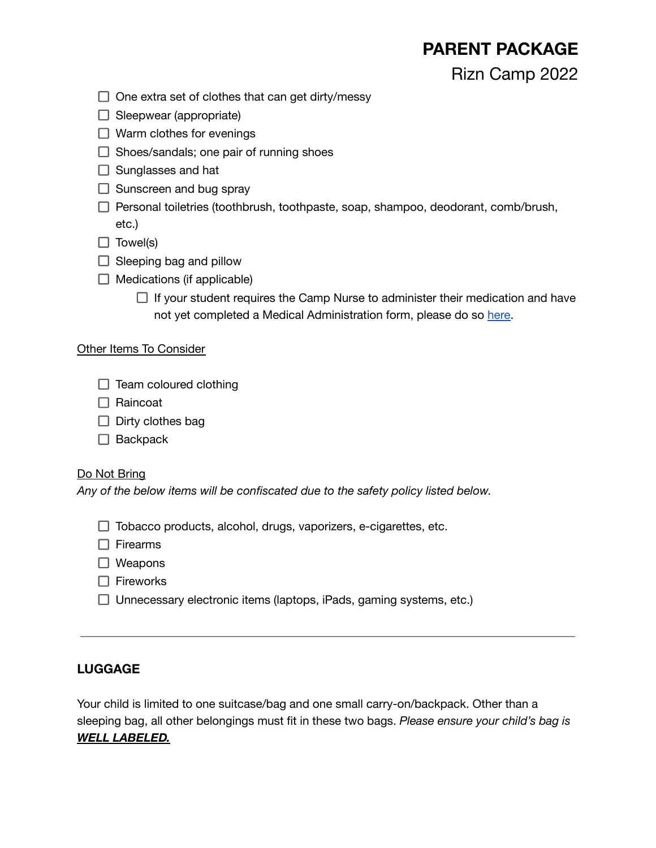### **PARENT PACKAGE**

Rizn Camp 2022

- $\Box$  One extra set of clothes that can get dirty/messy
- $\Box$  Sleepwear (appropriate)
- $\Box$  Warm clothes for evenings
- $\Box$  Shoes/sandals; one pair of running shoes
- $\Box$  Sunglasses and hat
- $\Box$  Sunscreen and bug spray
- $\Box$  Personal toiletries (toothbrush, toothpaste, soap, shampoo, deodorant, comb/brush, etc.)
- $\Box$  Towel(s)
- $\Box$  Sleeping bag and pillow
- $\Box$  Medications (if applicable)
	- $\Box$  If your student requires the Camp Nurse to administer their medication and have not yet completed a Medical Administration form, please do so [here.](https://celebrationedmonton.churchcenter.com/people/forms/396675)

#### Other Items To Consider

- $\Box$  Team coloured clothing
- $\Box$  Raincoat
- $\Box$  Dirty clothes bag
- $\Box$  Backpack

#### Do Not Bring

*Any of the below items will be confiscated due to the safety policy listed below.*

|  |  |  |  |  |  | $\Box$ Tobacco products, alcohol, drugs, vaporizers, e-cigarettes, etc. |  |
|--|--|--|--|--|--|-------------------------------------------------------------------------|--|
|--|--|--|--|--|--|-------------------------------------------------------------------------|--|

 $\Box$  Firearms

- □ Weapons
- $\Box$  Fireworks
- $\Box$  Unnecessary electronic items (laptops, iPads, gaming systems, etc.)

#### **LUGGAGE**

Your child is limited to one suitcase/bag and one small carry-on/backpack. Other than a sleeping bag, all other belongings must fit in these two bags. *Please ensure your child's bag is WELL LABELED.*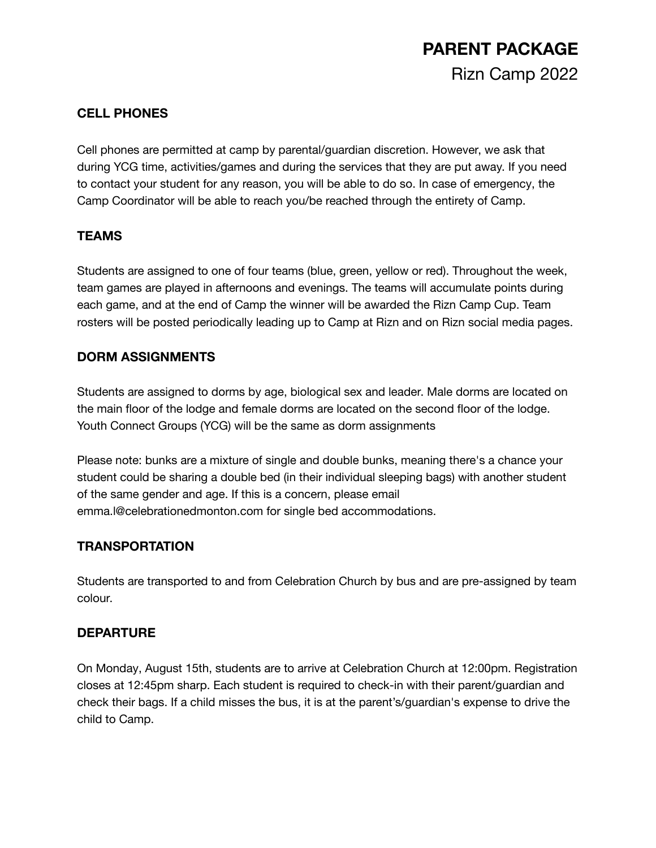## **PARENT PACKAGE** Rizn Camp 2022

#### **CELL PHONES**

Cell phones are permitted at camp by parental/guardian discretion. However, we ask that during YCG time, activities/games and during the services that they are put away. If you need to contact your student for any reason, you will be able to do so. In case of emergency, the Camp Coordinator will be able to reach you/be reached through the entirety of Camp.

#### **TEAMS**

Students are assigned to one of four teams (blue, green, yellow or red). Throughout the week, team games are played in afternoons and evenings. The teams will accumulate points during each game, and at the end of Camp the winner will be awarded the Rizn Camp Cup. Team rosters will be posted periodically leading up to Camp at Rizn and on Rizn social media pages.

#### **DORM ASSIGNMENTS**

Students are assigned to dorms by age, biological sex and leader. Male dorms are located on the main floor of the lodge and female dorms are located on the second floor of the lodge. Youth Connect Groups (YCG) will be the same as dorm assignments

Please note: bunks are a mixture of single and double bunks, meaning there's a chance your student could be sharing a double bed (in their individual sleeping bags) with another student of the same gender and age. If this is a concern, please email emma.l@celebrationedmonton.com for single bed accommodations.

#### **TRANSPORTATION**

Students are transported to and from Celebration Church by bus and are pre-assigned by team colour.

#### **DEPARTURE**

On Monday, August 15th, students are to arrive at Celebration Church at 12:00pm. Registration closes at 12:45pm sharp. Each student is required to check-in with their parent/guardian and check their bags. If a child misses the bus, it is at the parent's/guardian's expense to drive the child to Camp.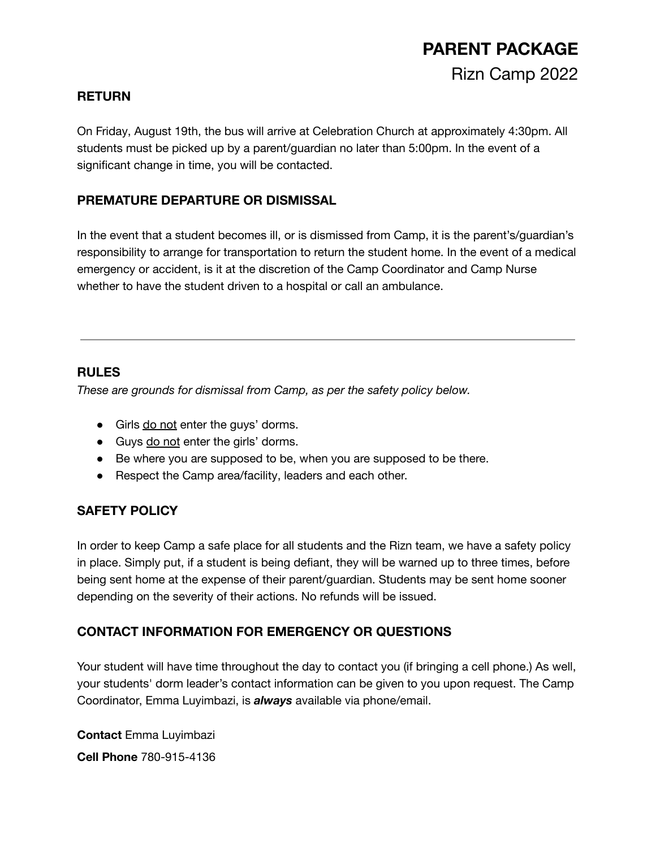### **PARENT PACKAGE** Rizn Camp 2022

#### **RETURN**

On Friday, August 19th, the bus will arrive at Celebration Church at approximately 4:30pm. All students must be picked up by a parent/guardian no later than 5:00pm. In the event of a significant change in time, you will be contacted.

#### **PREMATURE DEPARTURE OR DISMISSAL**

In the event that a student becomes ill, or is dismissed from Camp, it is the parent's/guardian's responsibility to arrange for transportation to return the student home. In the event of a medical emergency or accident, is it at the discretion of the Camp Coordinator and Camp Nurse whether to have the student driven to a hospital or call an ambulance.

#### **RULES**

*These are grounds for dismissal from Camp, as per the safety policy below.*

- Girls do not enter the guys' dorms.
- Guys do not enter the girls' dorms.
- Be where you are supposed to be, when you are supposed to be there.
- Respect the Camp area/facility, leaders and each other.

#### **SAFETY POLICY**

In order to keep Camp a safe place for all students and the Rizn team, we have a safety policy in place. Simply put, if a student is being defiant, they will be warned up to three times, before being sent home at the expense of their parent/guardian. Students may be sent home sooner depending on the severity of their actions. No refunds will be issued.

#### **CONTACT INFORMATION FOR EMERGENCY OR QUESTIONS**

Your student will have time throughout the day to contact you (if bringing a cell phone.) As well, your students' dorm leader's contact information can be given to you upon request. The Camp Coordinator, Emma Luyimbazi, is *always* available via phone/email.

**Contact** Emma Luyimbazi **Cell Phone** 780-915-4136